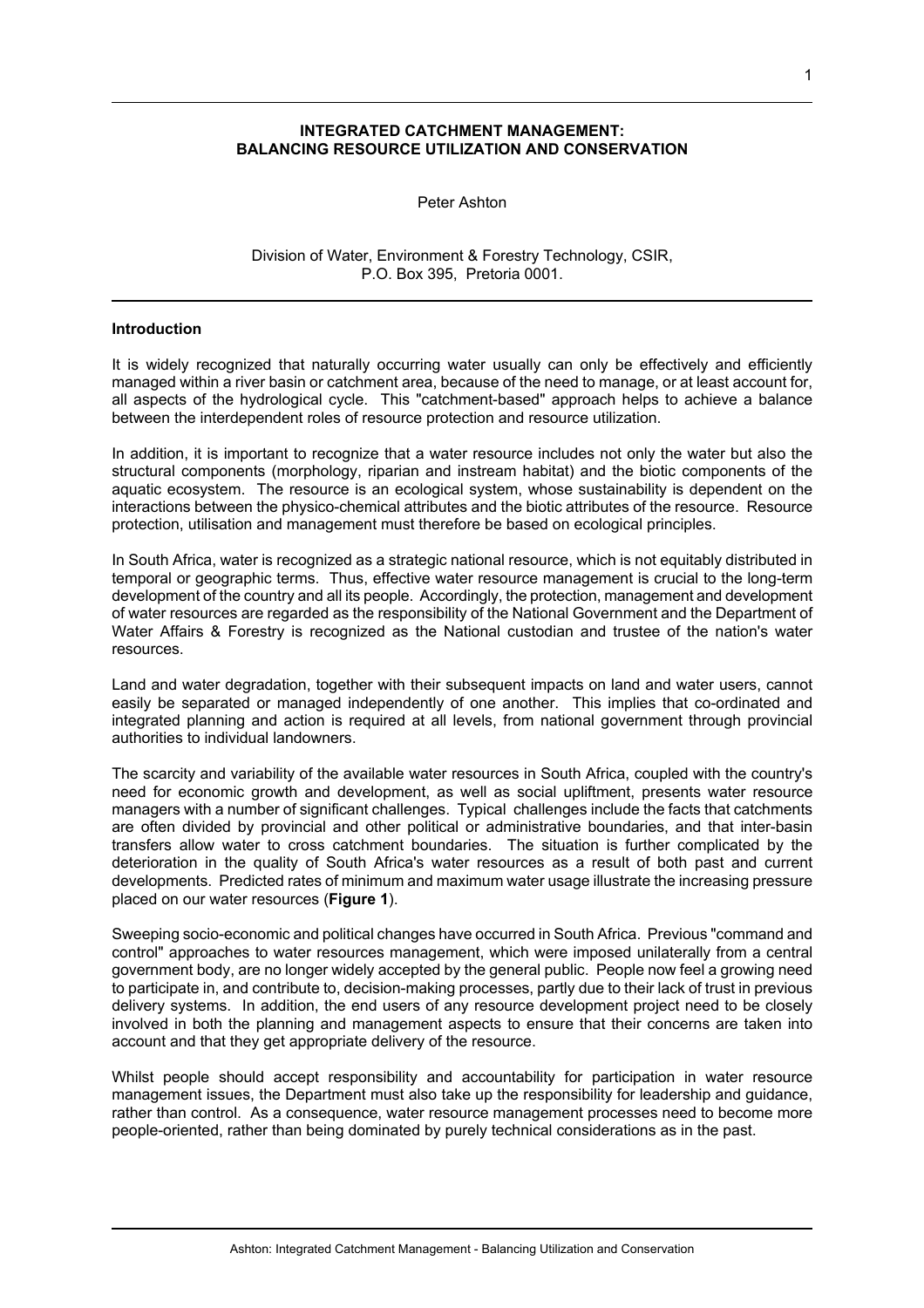### **INTEGRATED CATCHMENT MANAGEMENT: BALANCING RESOURCE UTILIZATION AND CONSERVATION**

Peter Ashton

Division of Water, Environment & Forestry Technology, CSIR, P.O. Box 395, Pretoria 0001.

#### **Introduction**

It is widely recognized that naturally occurring water usually can only be effectively and efficiently managed within a river basin or catchment area, because of the need to manage, or at least account for, all aspects of the hydrological cycle. This "catchment-based" approach helps to achieve a balance between the interdependent roles of resource protection and resource utilization.

In addition, it is important to recognize that a water resource includes not only the water but also the structural components (morphology, riparian and instream habitat) and the biotic components of the aquatic ecosystem. The resource is an ecological system, whose sustainability is dependent on the interactions between the physico-chemical attributes and the biotic attributes of the resource. Resource protection, utilisation and management must therefore be based on ecological principles.

In South Africa, water is recognized as a strategic national resource, which is not equitably distributed in temporal or geographic terms. Thus, effective water resource management is crucial to the long-term development of the country and all its people. Accordingly, the protection, management and development of water resources are regarded as the responsibility of the National Government and the Department of Water Affairs & Forestry is recognized as the National custodian and trustee of the nation's water resources.

Land and water degradation, together with their subsequent impacts on land and water users, cannot easily be separated or managed independently of one another. This implies that co-ordinated and integrated planning and action is required at all levels, from national government through provincial authorities to individual landowners.

The scarcity and variability of the available water resources in South Africa, coupled with the country's need for economic growth and development, as well as social upliftment, presents water resource managers with a number of significant challenges. Typical challenges include the facts that catchments are often divided by provincial and other political or administrative boundaries, and that inter-basin transfers allow water to cross catchment boundaries. The situation is further complicated by the deterioration in the quality of South Africa's water resources as a result of both past and current developments. Predicted rates of minimum and maximum water usage illustrate the increasing pressure placed on our water resources (**Figure 1**).

Sweeping socio-economic and political changes have occurred in South Africa. Previous "command and control" approaches to water resources management, which were imposed unilaterally from a central government body, are no longer widely accepted by the general public. People now feel a growing need to participate in, and contribute to, decision-making processes, partly due to their lack of trust in previous delivery systems. In addition, the end users of any resource development project need to be closely involved in both the planning and management aspects to ensure that their concerns are taken into account and that they get appropriate delivery of the resource.

Whilst people should accept responsibility and accountability for participation in water resource management issues, the Department must also take up the responsibility for leadership and guidance, rather than control. As a consequence, water resource management processes need to become more people-oriented, rather than being dominated by purely technical considerations as in the past.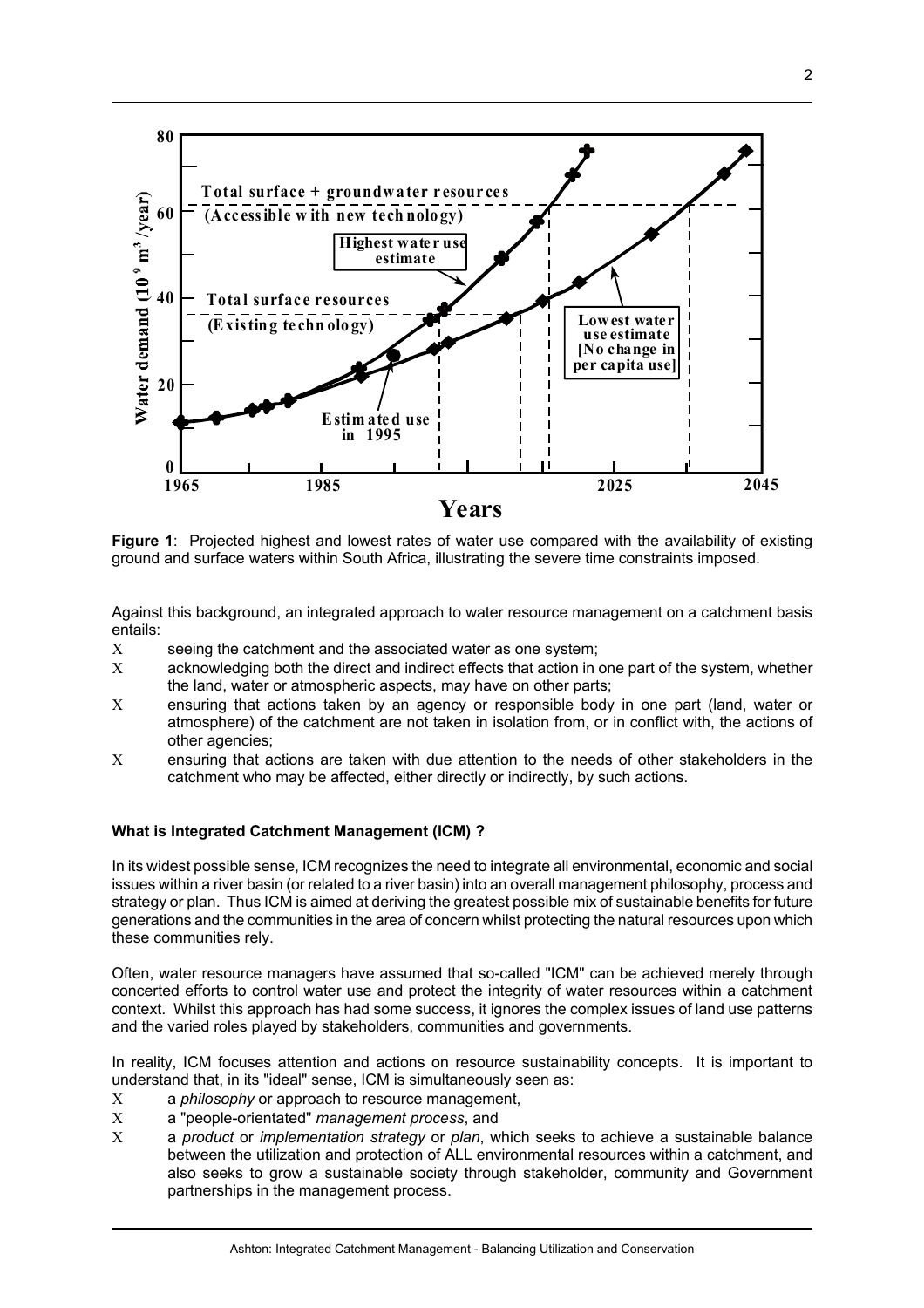

**Figure 1**: Projected highest and lowest rates of water use compared with the availability of existing ground and surface waters within South Africa, illustrating the severe time constraints imposed.

Against this background, an integrated approach to water resource management on a catchment basis entails:

- Χ seeing the catchment and the associated water as one system;
- Χ acknowledging both the direct and indirect effects that action in one part of the system, whether the land, water or atmospheric aspects, may have on other parts;
- Χ ensuring that actions taken by an agency or responsible body in one part (land, water or atmosphere) of the catchment are not taken in isolation from, or in conflict with, the actions of other agencies;
- Χ ensuring that actions are taken with due attention to the needs of other stakeholders in the catchment who may be affected, either directly or indirectly, by such actions.

### **What is Integrated Catchment Management (ICM) ?**

In its widest possible sense, ICM recognizes the need to integrate all environmental, economic and social issues within a river basin (or related to a river basin) into an overall management philosophy, process and strategy or plan. Thus ICM is aimed at deriving the greatest possible mix of sustainable benefits for future generations and the communities in the area of concern whilst protecting the natural resources upon which these communities rely.

Often, water resource managers have assumed that so-called "ICM" can be achieved merely through concerted efforts to control water use and protect the integrity of water resources within a catchment context. Whilst this approach has had some success, it ignores the complex issues of land use patterns and the varied roles played by stakeholders, communities and governments.

In reality, ICM focuses attention and actions on resource sustainability concepts. It is important to understand that, in its "ideal" sense, ICM is simultaneously seen as:

- Χ a *philosophy* or approach to resource management,
- Χ a "people-orientated" *management process*, and
- Χ a *product* or *implementation strategy* or *plan*, which seeks to achieve a sustainable balance between the utilization and protection of ALL environmental resources within a catchment, and also seeks to grow a sustainable society through stakeholder, community and Government partnerships in the management process.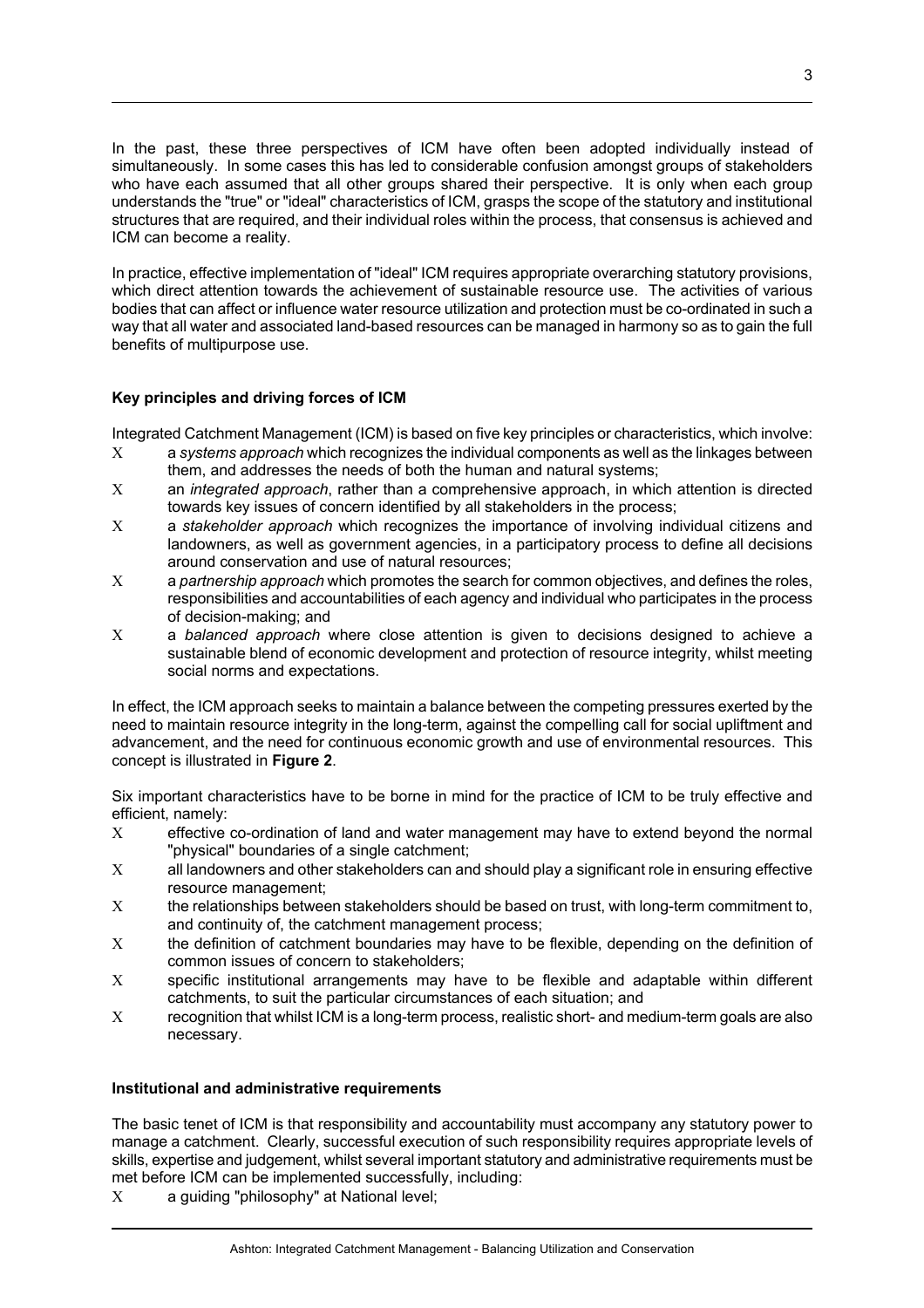In the past, these three perspectives of ICM have often been adopted individually instead of simultaneously. In some cases this has led to considerable confusion amongst groups of stakeholders who have each assumed that all other groups shared their perspective. It is only when each group understands the "true" or "ideal" characteristics of ICM, grasps the scope of the statutory and institutional structures that are required, and their individual roles within the process, that consensus is achieved and ICM can become a reality.

In practice, effective implementation of "ideal" ICM requires appropriate overarching statutory provisions, which direct attention towards the achievement of sustainable resource use. The activities of various bodies that can affect or influence water resource utilization and protection must be co-ordinated in such a way that all water and associated land-based resources can be managed in harmony so as to gain the full benefits of multipurpose use.

# **Key principles and driving forces of ICM**

Integrated Catchment Management (ICM) is based on five key principles or characteristics, which involve:

- Χ a *systems approach* which recognizes the individual components as well as the linkages between them, and addresses the needs of both the human and natural systems;
- Χ an *integrated approach*, rather than a comprehensive approach, in which attention is directed towards key issues of concern identified by all stakeholders in the process;
- Χ a *stakeholder approach* which recognizes the importance of involving individual citizens and landowners, as well as government agencies, in a participatory process to define all decisions around conservation and use of natural resources;
- Χ a *partnership approach* which promotes the search for common objectives, and defines the roles, responsibilities and accountabilities of each agency and individual who participates in the process of decision-making; and
- Χ a *balanced approach* where close attention is given to decisions designed to achieve a sustainable blend of economic development and protection of resource integrity, whilst meeting social norms and expectations.

In effect, the ICM approach seeks to maintain a balance between the competing pressures exerted by the need to maintain resource integrity in the long-term, against the compelling call for social upliftment and advancement, and the need for continuous economic growth and use of environmental resources. This concept is illustrated in **Figure 2**.

Six important characteristics have to be borne in mind for the practice of ICM to be truly effective and efficient, namely:

- Χ effective co-ordination of land and water management may have to extend beyond the normal "physical" boundaries of a single catchment;
- Χ all landowners and other stakeholders can and should play a significant role in ensuring effective resource management;
- Χ the relationships between stakeholders should be based on trust, with long-term commitment to, and continuity of, the catchment management process;
- Χ the definition of catchment boundaries may have to be flexible, depending on the definition of common issues of concern to stakeholders;
- Χ specific institutional arrangements may have to be flexible and adaptable within different catchments, to suit the particular circumstances of each situation; and
- Χ recognition that whilst ICM is a long-term process, realistic short- and medium-term goals are also necessary.

# **Institutional and administrative requirements**

The basic tenet of ICM is that responsibility and accountability must accompany any statutory power to manage a catchment. Clearly, successful execution of such responsibility requires appropriate levels of skills, expertise and judgement, whilst several important statutory and administrative requirements must be met before ICM can be implemented successfully, including:

Χ a guiding "philosophy" at National level;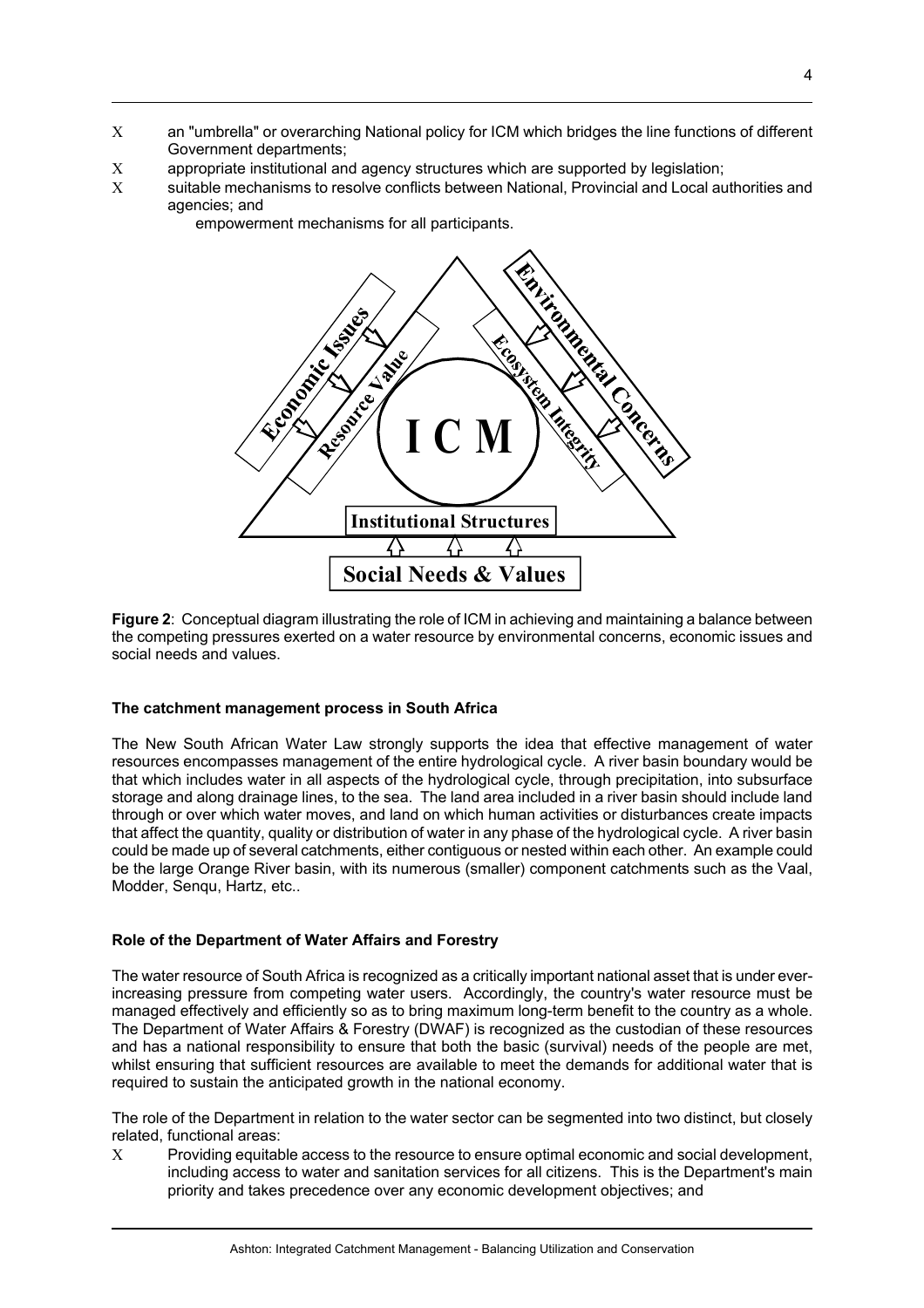- Χ an "umbrella" or overarching National policy for ICM which bridges the line functions of different Government departments;
- Χ appropriate institutional and agency structures which are supported by legislation;
- Χ suitable mechanisms to resolve conflicts between National, Provincial and Local authorities and agencies; and
	- empowerment mechanisms for all participants.



**Figure 2**: Conceptual diagram illustrating the role of ICM in achieving and maintaining a balance between the competing pressures exerted on a water resource by environmental concerns, economic issues and social needs and values.

#### **The catchment management process in South Africa**

The New South African Water Law strongly supports the idea that effective management of water resources encompasses management of the entire hydrological cycle. A river basin boundary would be that which includes water in all aspects of the hydrological cycle, through precipitation, into subsurface storage and along drainage lines, to the sea. The land area included in a river basin should include land through or over which water moves, and land on which human activities or disturbances create impacts that affect the quantity, quality or distribution of water in any phase of the hydrological cycle. A river basin could be made up of several catchments, either contiguous or nested within each other. An example could be the large Orange River basin, with its numerous (smaller) component catchments such as the Vaal, Modder, Senqu, Hartz, etc..

#### **Role of the Department of Water Affairs and Forestry**

The water resource of South Africa is recognized as a critically important national asset that is under everincreasing pressure from competing water users. Accordingly, the country's water resource must be managed effectively and efficiently so as to bring maximum long-term benefit to the country as a whole. The Department of Water Affairs & Forestry (DWAF) is recognized as the custodian of these resources and has a national responsibility to ensure that both the basic (survival) needs of the people are met, whilst ensuring that sufficient resources are available to meet the demands for additional water that is required to sustain the anticipated growth in the national economy.

The role of the Department in relation to the water sector can be segmented into two distinct, but closely related, functional areas:

Χ Providing equitable access to the resource to ensure optimal economic and social development, including access to water and sanitation services for all citizens. This is the Department's main priority and takes precedence over any economic development objectives; and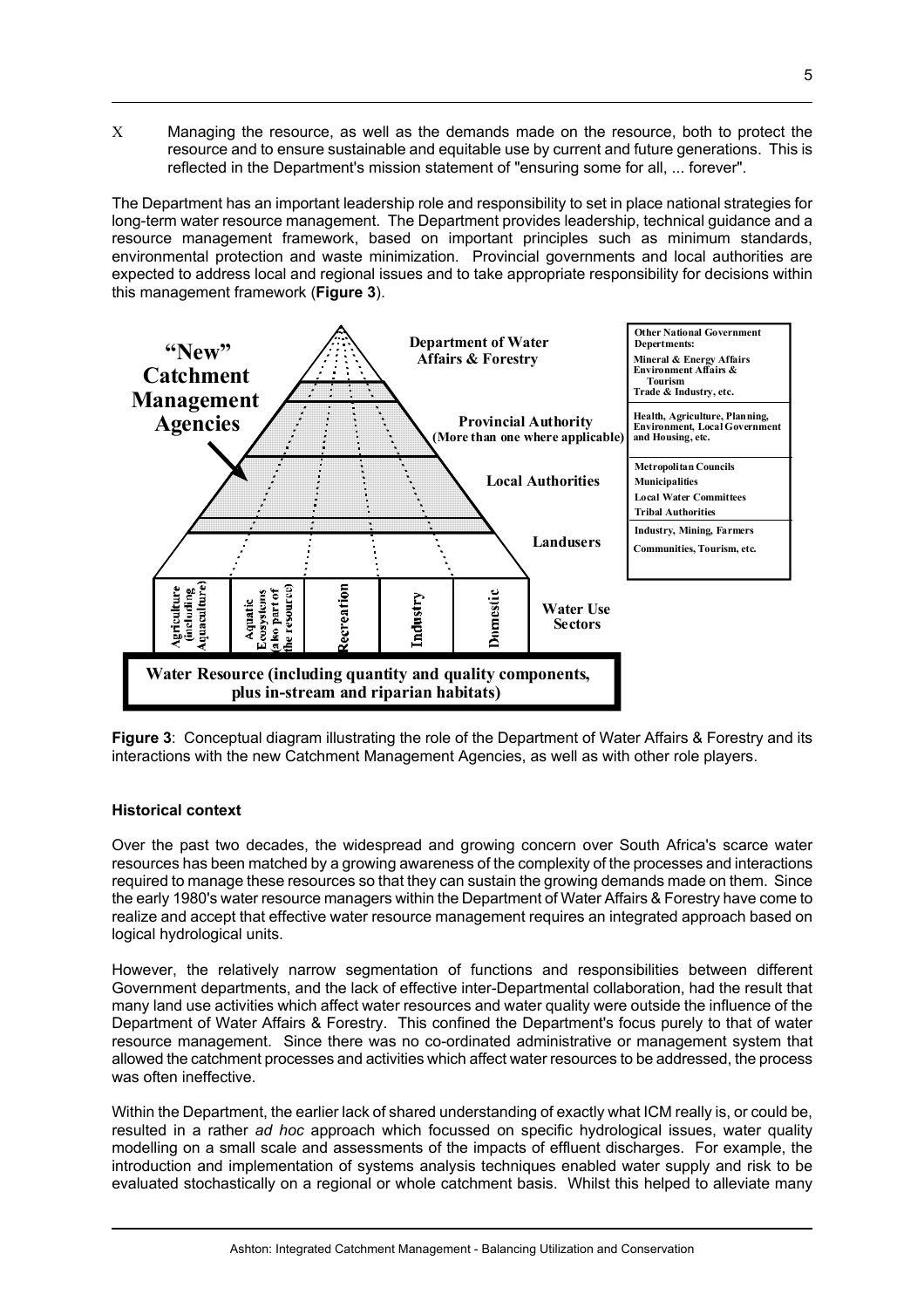Χ Managing the resource, as well as the demands made on the resource, both to protect the resource and to ensure sustainable and equitable use by current and future generations. This is reflected in the Department's mission statement of "ensuring some for all, ... forever".

The Department has an important leadership role and responsibility to set in place national strategies for long-term water resource management. The Department provides leadership, technical guidance and a resource management framework, based on important principles such as minimum standards, environmental protection and waste minimization. Provincial governments and local authorities are expected to address local and regional issues and to take appropriate responsibility for decisions within this management framework (**Figure 3**).



**Figure 3**: Conceptual diagram illustrating the role of the Department of Water Affairs & Forestry and its interactions with the new Catchment Management Agencies, as well as with other role players.

# **Historical context**

Over the past two decades, the widespread and growing concern over South Africa's scarce water resources has been matched by a growing awareness of the complexity of the processes and interactions required to manage these resources so that they can sustain the growing demands made on them. Since the early 1980's water resource managers within the Department of Water Affairs & Forestry have come to realize and accept that effective water resource management requires an integrated approach based on logical hydrological units.

However, the relatively narrow segmentation of functions and responsibilities between different Government departments, and the lack of effective inter-Departmental collaboration, had the result that many land use activities which affect water resources and water quality were outside the influence of the Department of Water Affairs & Forestry. This confined the Department's focus purely to that of water resource management. Since there was no co-ordinated administrative or management system that allowed the catchment processes and activities which affect water resources to be addressed, the process was often ineffective.

Within the Department, the earlier lack of shared understanding of exactly what ICM really is, or could be, resulted in a rather *ad hoc* approach which focussed on specific hydrological issues, water quality modelling on a small scale and assessments of the impacts of effluent discharges. For example, the introduction and implementation of systems analysis techniques enabled water supply and risk to be evaluated stochastically on a regional or whole catchment basis. Whilst this helped to alleviate many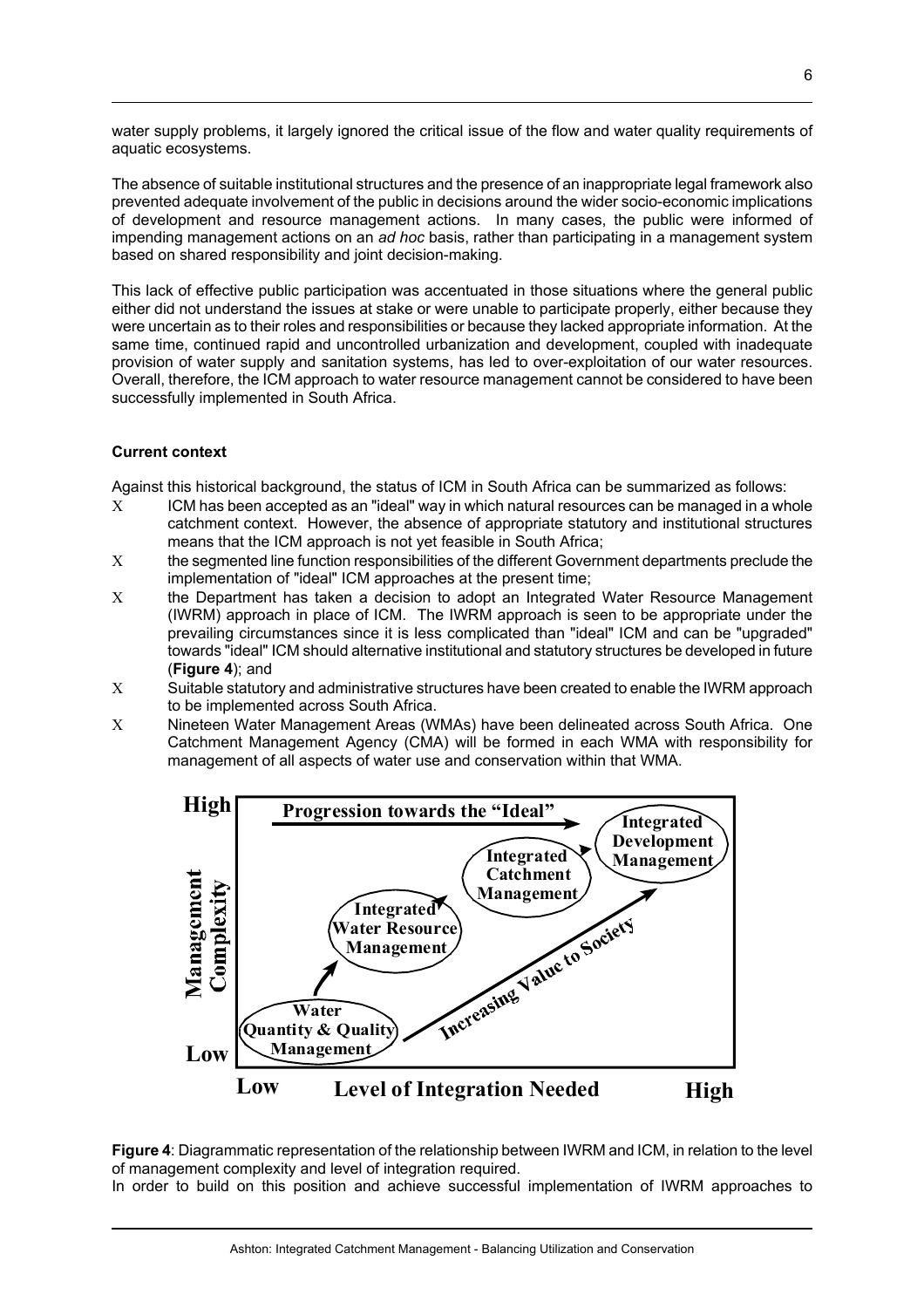water supply problems, it largely ignored the critical issue of the flow and water quality requirements of aquatic ecosystems.

The absence of suitable institutional structures and the presence of an inappropriate legal framework also prevented adequate involvement of the public in decisions around the wider socio-economic implications of development and resource management actions. In many cases, the public were informed of impending management actions on an *ad hoc* basis, rather than participating in a management system based on shared responsibility and joint decision-making.

This lack of effective public participation was accentuated in those situations where the general public either did not understand the issues at stake or were unable to participate properly, either because they were uncertain as to their roles and responsibilities or because they lacked appropriate information. At the same time, continued rapid and uncontrolled urbanization and development, coupled with inadequate provision of water supply and sanitation systems, has led to over-exploitation of our water resources. Overall, therefore, the ICM approach to water resource management cannot be considered to have been successfully implemented in South Africa.

# **Current context**

Against this historical background, the status of ICM in South Africa can be summarized as follows:

- Χ ICM has been accepted as an "ideal" way in which natural resources can be managed in a whole catchment context. However, the absence of appropriate statutory and institutional structures means that the ICM approach is not yet feasible in South Africa;
- Χ the segmented line function responsibilities of the different Government departments preclude the implementation of "ideal" ICM approaches at the present time;
- Χ the Department has taken a decision to adopt an Integrated Water Resource Management (IWRM) approach in place of ICM. The IWRM approach is seen to be appropriate under the prevailing circumstances since it is less complicated than "ideal" ICM and can be "upgraded" towards "ideal" ICM should alternative institutional and statutory structures be developed in future (**Figure 4**); and
- Χ Suitable statutory and administrative structures have been created to enable the IWRM approach to be implemented across South Africa.
- Χ Nineteen Water Management Areas (WMAs) have been delineated across South Africa. One Catchment Management Agency (CMA) will be formed in each WMA with responsibility for management of all aspects of water use and conservation within that WMA.



**Figure 4**: Diagrammatic representation of the relationship between IWRM and ICM, in relation to the level of management complexity and level of integration required.

In order to build on this position and achieve successful implementation of IWRM approaches to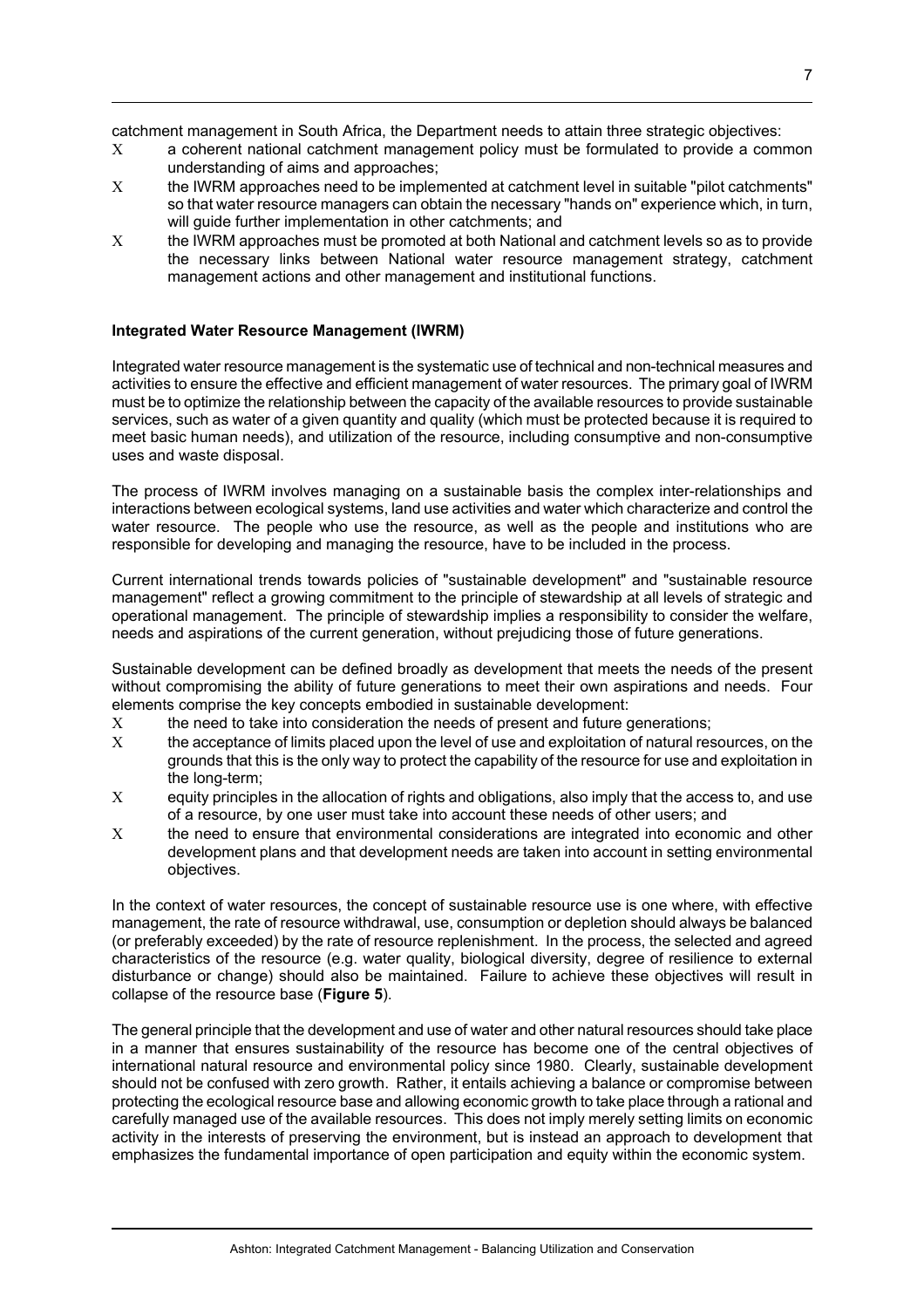catchment management in South Africa, the Department needs to attain three strategic objectives:

- Χ a coherent national catchment management policy must be formulated to provide a common understanding of aims and approaches;
- Χ the IWRM approaches need to be implemented at catchment level in suitable "pilot catchments" so that water resource managers can obtain the necessary "hands on" experience which, in turn, will guide further implementation in other catchments; and
- Χ the IWRM approaches must be promoted at both National and catchment levels so as to provide the necessary links between National water resource management strategy, catchment management actions and other management and institutional functions.

# **Integrated Water Resource Management (IWRM)**

Integrated water resource management is the systematic use of technical and non-technical measures and activities to ensure the effective and efficient management of water resources. The primary goal of IWRM must be to optimize the relationship between the capacity of the available resources to provide sustainable services, such as water of a given quantity and quality (which must be protected because it is required to meet basic human needs), and utilization of the resource, including consumptive and non-consumptive uses and waste disposal.

The process of IWRM involves managing on a sustainable basis the complex inter-relationships and interactions between ecological systems, land use activities and water which characterize and control the water resource. The people who use the resource, as well as the people and institutions who are responsible for developing and managing the resource, have to be included in the process.

Current international trends towards policies of "sustainable development" and "sustainable resource management" reflect a growing commitment to the principle of stewardship at all levels of strategic and operational management. The principle of stewardship implies a responsibility to consider the welfare, needs and aspirations of the current generation, without prejudicing those of future generations.

Sustainable development can be defined broadly as development that meets the needs of the present without compromising the ability of future generations to meet their own aspirations and needs. Four elements comprise the key concepts embodied in sustainable development:

- Χ the need to take into consideration the needs of present and future generations;
- Χ the acceptance of limits placed upon the level of use and exploitation of natural resources, on the grounds that this is the only way to protect the capability of the resource for use and exploitation in the long-term;
- Χ equity principles in the allocation of rights and obligations, also imply that the access to, and use of a resource, by one user must take into account these needs of other users; and
- Χ the need to ensure that environmental considerations are integrated into economic and other development plans and that development needs are taken into account in setting environmental objectives.

In the context of water resources, the concept of sustainable resource use is one where, with effective management, the rate of resource withdrawal, use, consumption or depletion should always be balanced (or preferably exceeded) by the rate of resource replenishment. In the process, the selected and agreed characteristics of the resource (e.g. water quality, biological diversity, degree of resilience to external disturbance or change) should also be maintained. Failure to achieve these objectives will result in collapse of the resource base (**Figure 5**).

The general principle that the development and use of water and other natural resources should take place in a manner that ensures sustainability of the resource has become one of the central objectives of international natural resource and environmental policy since 1980. Clearly, sustainable development should not be confused with zero growth. Rather, it entails achieving a balance or compromise between protecting the ecological resource base and allowing economic growth to take place through a rational and carefully managed use of the available resources. This does not imply merely setting limits on economic activity in the interests of preserving the environment, but is instead an approach to development that emphasizes the fundamental importance of open participation and equity within the economic system.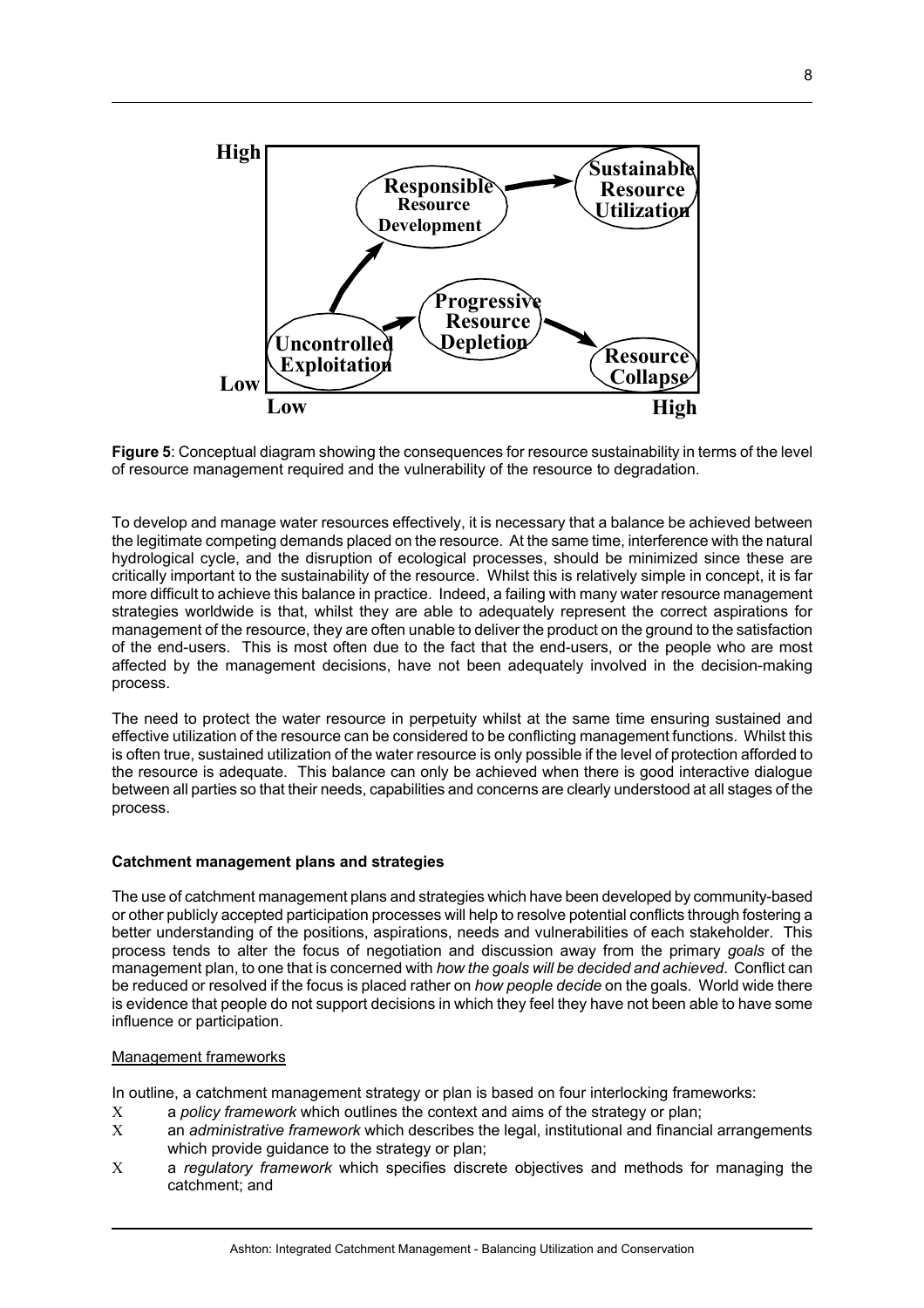

**Figure 5**: Conceptual diagram showing the consequences for resource sustainability in terms of the level of resource management required and the vulnerability of the resource to degradation.

To develop and manage water resources effectively, it is necessary that a balance be achieved between the legitimate competing demands placed on the resource. At the same time, interference with the natural hydrological cycle, and the disruption of ecological processes, should be minimized since these are critically important to the sustainability of the resource. Whilst this is relatively simple in concept, it is far more difficult to achieve this balance in practice. Indeed, a failing with many water resource management strategies worldwide is that, whilst they are able to adequately represent the correct aspirations for management of the resource, they are often unable to deliver the product on the ground to the satisfaction of the end-users. This is most often due to the fact that the end-users, or the people who are most affected by the management decisions, have not been adequately involved in the decision-making process.

The need to protect the water resource in perpetuity whilst at the same time ensuring sustained and effective utilization of the resource can be considered to be conflicting management functions. Whilst this is often true, sustained utilization of the water resource is only possible if the level of protection afforded to the resource is adequate. This balance can only be achieved when there is good interactive dialogue between all parties so that their needs, capabilities and concerns are clearly understood at all stages of the process.

#### **Catchment management plans and strategies**

The use of catchment management plans and strategies which have been developed by community-based or other publicly accepted participation processes will help to resolve potential conflicts through fostering a better understanding of the positions, aspirations, needs and vulnerabilities of each stakeholder. This process tends to alter the focus of negotiation and discussion away from the primary *goals* of the management plan, to one that is concerned with *how the goals will be decided and achieved*. Conflict can be reduced or resolved if the focus is placed rather on *how people decide* on the goals. World wide there is evidence that people do not support decisions in which they feel they have not been able to have some influence or participation.

#### Management frameworks

In outline, a catchment management strategy or plan is based on four interlocking frameworks:

- Χ a *policy framework* which outlines the context and aims of the strategy or plan;
- Χ an *administrative framework* which describes the legal, institutional and financial arrangements which provide guidance to the strategy or plan;
- Χ a *regulatory framework* which specifies discrete objectives and methods for managing the catchment; and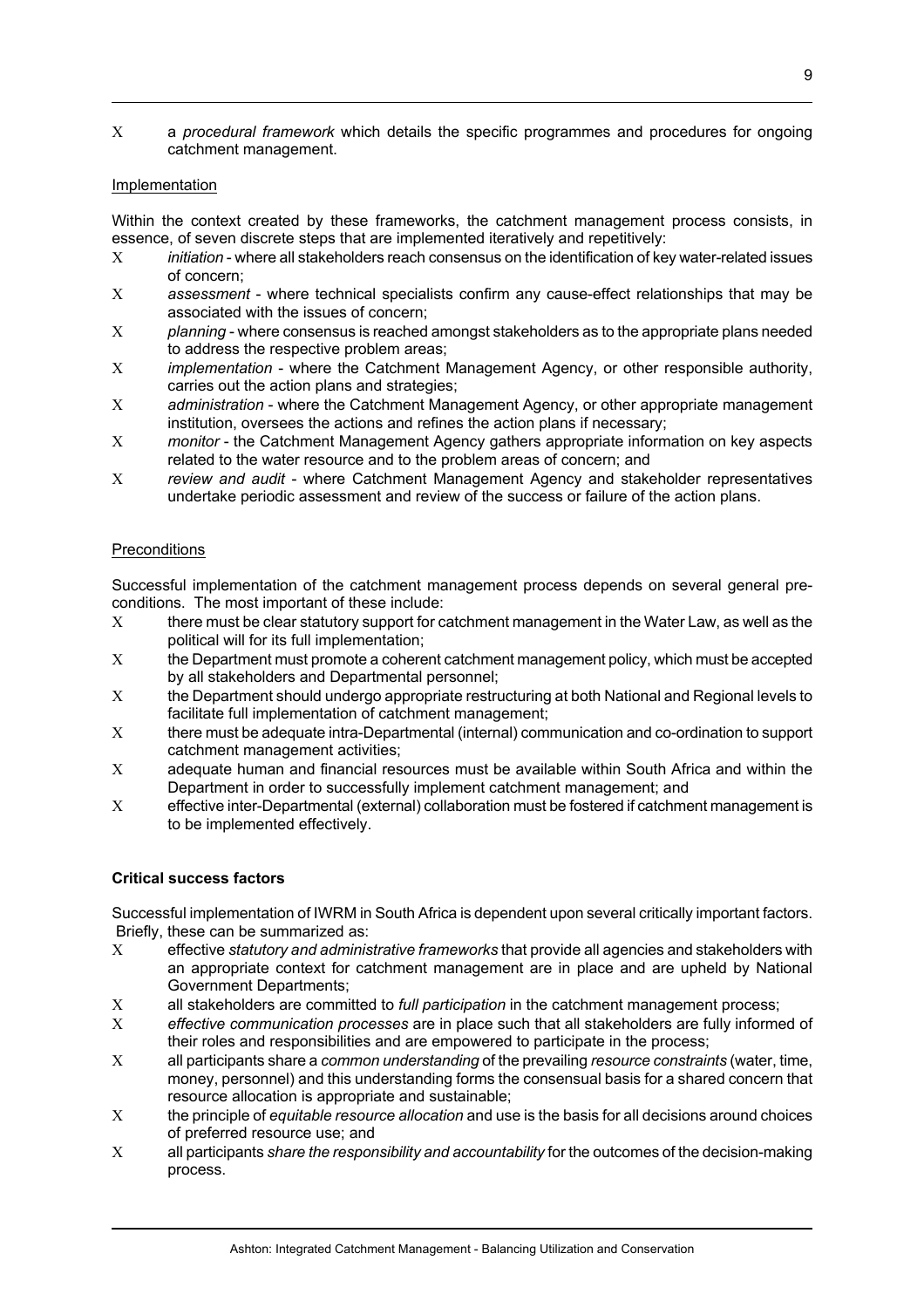Χ a *procedural framework* which details the specific programmes and procedures for ongoing catchment management.

### Implementation

Within the context created by these frameworks, the catchment management process consists, in essence, of seven discrete steps that are implemented iteratively and repetitively:

- Χ *initiation* where all stakeholders reach consensus on the identification of key water-related issues of concern;
- Χ *assessment* where technical specialists confirm any cause-effect relationships that may be associated with the issues of concern;
- Χ *planning* where consensus is reached amongst stakeholders as to the appropriate plans needed to address the respective problem areas;
- Χ *implementation* where the Catchment Management Agency, or other responsible authority, carries out the action plans and strategies;
- Χ *administration* where the Catchment Management Agency, or other appropriate management institution, oversees the actions and refines the action plans if necessary;
- Χ *monitor* the Catchment Management Agency gathers appropriate information on key aspects related to the water resource and to the problem areas of concern; and
- Χ *review and audit* where Catchment Management Agency and stakeholder representatives undertake periodic assessment and review of the success or failure of the action plans.

### **Preconditions**

Successful implementation of the catchment management process depends on several general preconditions. The most important of these include:

- Χ there must be clear statutory support for catchment management in the Water Law, as well as the political will for its full implementation;
- Χ the Department must promote a coherent catchment management policy, which must be accepted by all stakeholders and Departmental personnel;
- Χ the Department should undergo appropriate restructuring at both National and Regional levels to facilitate full implementation of catchment management;
- Χ there must be adequate intra-Departmental (internal) communication and co-ordination to support catchment management activities;
- Χ adequate human and financial resources must be available within South Africa and within the Department in order to successfully implement catchment management; and
- Χ effective inter-Departmental (external) collaboration must be fostered if catchment management is to be implemented effectively.

### **Critical success factors**

Successful implementation of IWRM in South Africa is dependent upon several critically important factors. Briefly, these can be summarized as:

- Χ effective *statutory and administrative frameworks* that provide all agencies and stakeholders with an appropriate context for catchment management are in place and are upheld by National Government Departments;
- Χ all stakeholders are committed to *full participation* in the catchment management process;
- Χ *effective communication processes* are in place such that all stakeholders are fully informed of their roles and responsibilities and are empowered to participate in the process;
- Χ all participants share a *common understanding* of the prevailing *resource constraints* (water, time, money, personnel) and this understanding forms the consensual basis for a shared concern that resource allocation is appropriate and sustainable;
- Χ the principle of *equitable resource allocation* and use is the basis for all decisions around choices of preferred resource use; and
- Χ all participants *share the responsibility and accountability* for the outcomes of the decision-making process.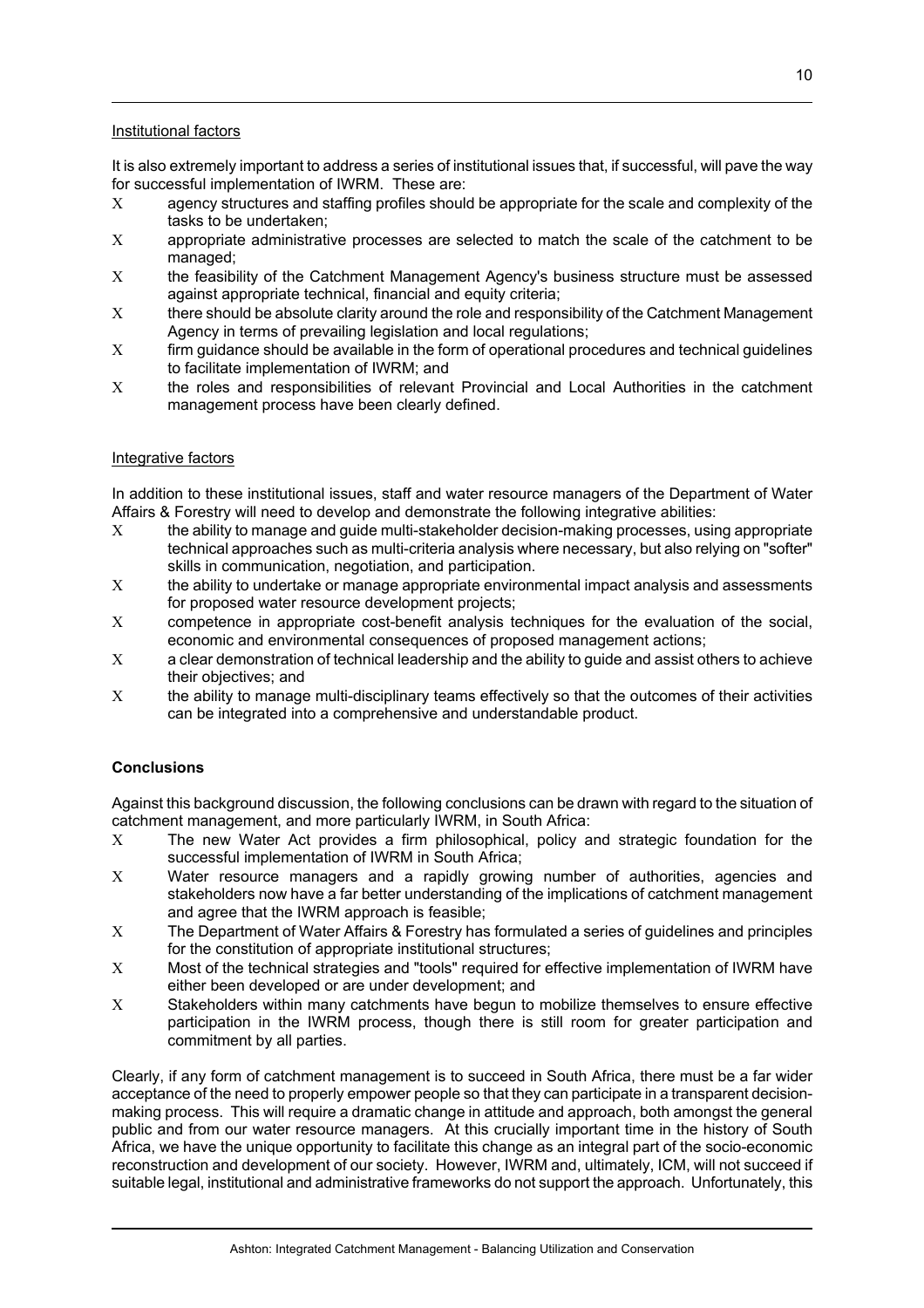### Institutional factors

It is also extremely important to address a series of institutional issues that, if successful, will pave the way for successful implementation of IWRM. These are:

- Χ agency structures and staffing profiles should be appropriate for the scale and complexity of the tasks to be undertaken;
- Χ appropriate administrative processes are selected to match the scale of the catchment to be managed;
- X the feasibility of the Catchment Management Agency's business structure must be assessed against appropriate technical, financial and equity criteria;
- Χ there should be absolute clarity around the role and responsibility of the Catchment Management Agency in terms of prevailing legislation and local regulations;
- Χ firm guidance should be available in the form of operational procedures and technical guidelines to facilitate implementation of IWRM; and
- Χ the roles and responsibilities of relevant Provincial and Local Authorities in the catchment management process have been clearly defined.

#### Integrative factors

In addition to these institutional issues, staff and water resource managers of the Department of Water Affairs & Forestry will need to develop and demonstrate the following integrative abilities:

- Χ the ability to manage and guide multi-stakeholder decision-making processes, using appropriate technical approaches such as multi-criteria analysis where necessary, but also relying on "softer" skills in communication, negotiation, and participation.
- Χ the ability to undertake or manage appropriate environmental impact analysis and assessments for proposed water resource development projects;
- Χ competence in appropriate cost-benefit analysis techniques for the evaluation of the social, economic and environmental consequences of proposed management actions;
- Χ a clear demonstration of technical leadership and the ability to guide and assist others to achieve their objectives; and
- Χ the ability to manage multi-disciplinary teams effectively so that the outcomes of their activities can be integrated into a comprehensive and understandable product.

# **Conclusions**

Against this background discussion, the following conclusions can be drawn with regard to the situation of catchment management, and more particularly IWRM, in South Africa:

- Χ The new Water Act provides a firm philosophical, policy and strategic foundation for the successful implementation of IWRM in South Africa;
- Χ Water resource managers and a rapidly growing number of authorities, agencies and stakeholders now have a far better understanding of the implications of catchment management and agree that the IWRM approach is feasible;
- Χ The Department of Water Affairs & Forestry has formulated a series of guidelines and principles for the constitution of appropriate institutional structures;
- Χ Most of the technical strategies and "tools" required for effective implementation of IWRM have either been developed or are under development; and
- Χ Stakeholders within many catchments have begun to mobilize themselves to ensure effective participation in the IWRM process, though there is still room for greater participation and commitment by all parties.

Clearly, if any form of catchment management is to succeed in South Africa, there must be a far wider acceptance of the need to properly empower people so that they can participate in a transparent decisionmaking process. This will require a dramatic change in attitude and approach, both amongst the general public and from our water resource managers. At this crucially important time in the history of South Africa, we have the unique opportunity to facilitate this change as an integral part of the socio-economic reconstruction and development of our society. However, IWRM and, ultimately, ICM, will not succeed if suitable legal, institutional and administrative frameworks do not support the approach. Unfortunately, this